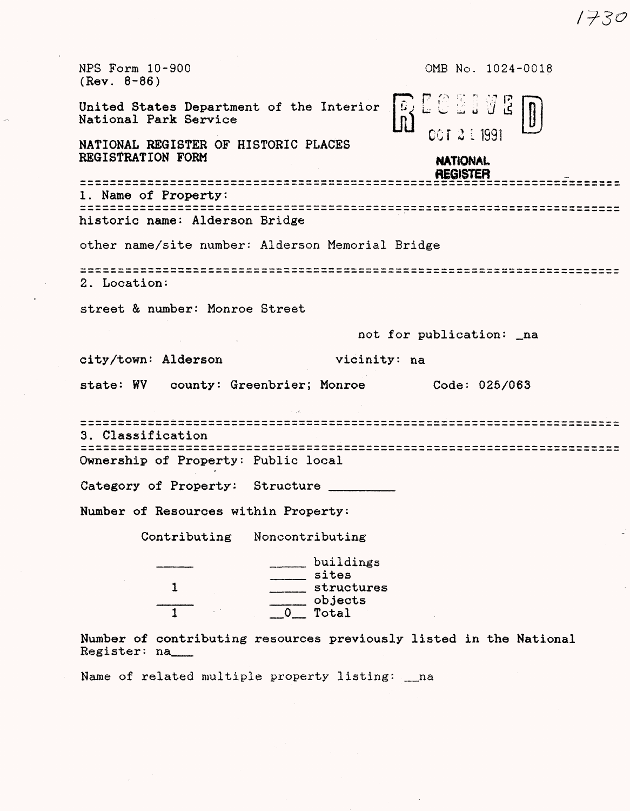NFS Form 10-900 0MB No. 1024-0018 (Rev. 8-86) P r;% ;-.- r .t.-r p United States Department of the Interior National Park Service CCT 2 1 1991 NATIONAL REGISTER OF HISTORIC PLACES REGISTRATION FORM **NATIONAL REGISTER** \*\*\*\*\*\*\*\*\*\*\*\*\*\*\*\*\* 1. Name of Property: historic name: Alderson Bridge other name/site number: Alderson Memorial Bridge 2. Location: street & number: Monroe Street not for publication: \_na city/town: Alderson vicinity: na state: WV county: Greenbrier; Monroe Code: 025/063 3. Classification Ownership of Property: Public local Category of Property: Structure Number of Resources within Property: Contributing Noncontributing \_\_\_\_ \_\_\_\_ buildings \_\_\_\_ sites 1 \_\_\_\_ structures  $\frac{1}{0}$  objects<br>0 Total  $_$  Total

Number of contributing resources previously listed in the National Register: na\_\_

Name of related multiple property listing: \_na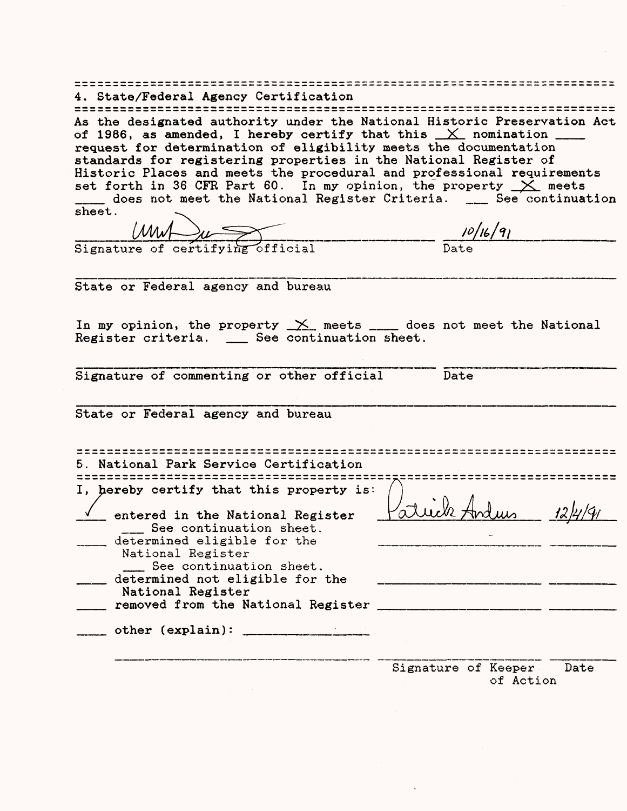| 4. State/Federal Agency Certification                                                                                                                                                                                                                                                                  |                                                                                                                                                                                                                                  |
|--------------------------------------------------------------------------------------------------------------------------------------------------------------------------------------------------------------------------------------------------------------------------------------------------------|----------------------------------------------------------------------------------------------------------------------------------------------------------------------------------------------------------------------------------|
| As the designated authority under the National Historic Preservation Act<br>of 1986, as amended, I hereby certify that this $\angle\angle$ nomination $\equiv$<br>request for determination of eligibility meets the documentation<br>standards for registering properties in the National Register of |                                                                                                                                                                                                                                  |
| Historic Places and meets the procedural and professional requirements<br>set forth in 36 CFR Part 60. In my opinion, the property $\times$ meets<br>does not meet the National Register Criteria. __ See continuation                                                                                 |                                                                                                                                                                                                                                  |
| ${\tt sheet}$ .                                                                                                                                                                                                                                                                                        |                                                                                                                                                                                                                                  |
| $\frac{10/16/91}{\text{Signature of certifying official}}$                                                                                                                                                                                                                                             |                                                                                                                                                                                                                                  |
| State or Federal agency and bureau                                                                                                                                                                                                                                                                     |                                                                                                                                                                                                                                  |
| In my opinion, the property $\frac{1}{2}$ meets ____ does not meet the National                                                                                                                                                                                                                        |                                                                                                                                                                                                                                  |
| Register criteria. __ See continuation sheet.                                                                                                                                                                                                                                                          |                                                                                                                                                                                                                                  |
| Signature of commenting or other official                                                                                                                                                                                                                                                              | Date                                                                                                                                                                                                                             |
| State or Federal agency and bureau                                                                                                                                                                                                                                                                     |                                                                                                                                                                                                                                  |
| 5. National Park Service Certification                                                                                                                                                                                                                                                                 |                                                                                                                                                                                                                                  |
| I, hereby certify that this property is:                                                                                                                                                                                                                                                               |                                                                                                                                                                                                                                  |
| entered in the National Register<br>___ See continuation sheet.                                                                                                                                                                                                                                        | luis 12/4/91                                                                                                                                                                                                                     |
| determined eligible for the<br>National Register                                                                                                                                                                                                                                                       |                                                                                                                                                                                                                                  |
| See continuation sheet.<br>determined not eligible for the                                                                                                                                                                                                                                             | 1000 - San Antonio Alemania (1991) - San Antonio Alemania (1991) - San Antonio Alemania (1991) - San Antonio A<br>1991 - Antonio Alemania (1992) - San Antonio Alemania (1992) - San Antonio Alemania (1992) - San Antonio Alema |
| National Register<br>removed from the National Register                                                                                                                                                                                                                                                |                                                                                                                                                                                                                                  |
|                                                                                                                                                                                                                                                                                                        |                                                                                                                                                                                                                                  |
|                                                                                                                                                                                                                                                                                                        | Signature of Keeper<br>Date<br>of Action                                                                                                                                                                                         |

 $\label{eq:2.1} \frac{1}{\sqrt{2\pi}}\sum_{i=1}^n\frac{1}{\sqrt{2\pi}}\int_{\mathbb{R}^n}\frac{1}{\sqrt{2\pi}}\int_{\mathbb{R}^n}\frac{1}{\sqrt{2\pi}}\int_{\mathbb{R}^n}\frac{1}{\sqrt{2\pi}}\int_{\mathbb{R}^n}\frac{1}{\sqrt{2\pi}}\int_{\mathbb{R}^n}\frac{1}{\sqrt{2\pi}}\int_{\mathbb{R}^n}\frac{1}{\sqrt{2\pi}}\int_{\mathbb{R}^n}\frac{1}{\sqrt{2\pi}}\int_{\mathbb{R}^n}\frac{1}{\$ 

 $\sim 10^{-1}$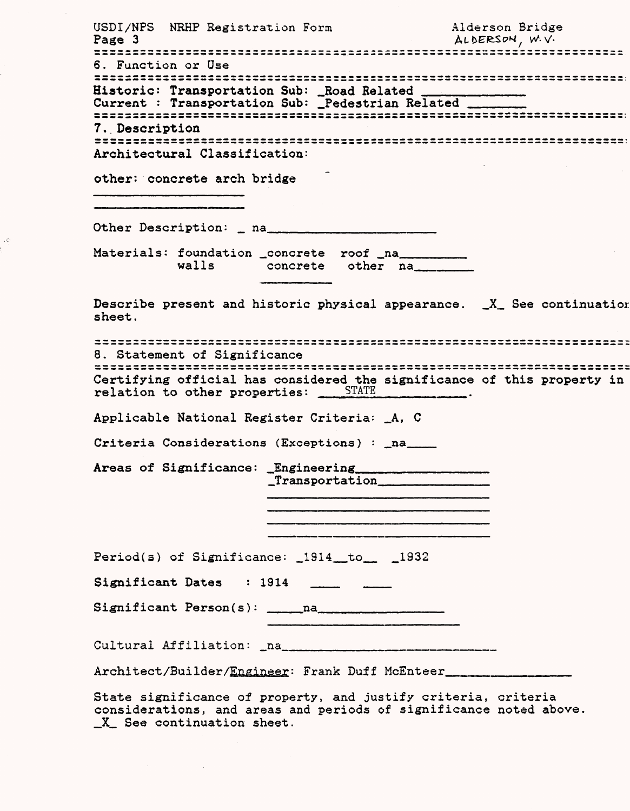USDI/NPS NRHP Registration Form Alderson Bridge<br>Page 3 ALDERSON, W.V. Page 3 6. Function or Use Historic: Transportation Sub: Road Related Current : Transportation Sub: \_Pedestrian Related «»«»>^\*«»«»»^^«»»^\*»»4»\*«»>«»«»>«»>«»»,M»M»«»l»»W«4H» ^ »«\*^«M«M«M»Z»^W«^Z»«B «B«B»^«B>«\*V«B)^^^^«V 7. Description M«»^^«M» «»«M^«M««i^«»«W«B«M»^«\*«M»«»^ M-WM»^«»«»\*V<M»4V«M«B«M ^. ^.B^BWVMM^V^WIM^^BW\* < » > «W«M » Architectural Classification: other: concrete arch bridge Other Description: \_ na. Materials: foundation \_concrete roof \_na\_\_\_\_\_\_ walls concrete other na Describe present and historic physical appearance. \_X\_ See continuatior sheet. 8, Statement of Significance Certifying official has considered the significance of this property in relation to other properties: STATE \_\_\_\_\_\_\_\_\_. Applicable National Register Criteria: \_A, C Criteria Considerations (Exceptions) : \_na\_\_\_\_ Areas of Significance: Engineering \_Transportation\_\_\_\_\_\_\_\_\_\_\_\_ Period(s) of Significance: \_1914\_to\_ \_1932 Significant Dates : 1914 \_\_ \_ \_ \_ Significant Person(s): \_\_\_\_na\_\_\_\_\_\_\_\_\_\_\_\_ Cultural Affiliation: \_na\_\_ Architect/Builder/Engineer: Frank Duff McEnteer. State significance of property, and justify criteria, criteria considerations, and areas and periods of significance noted above

X See continuation sheet.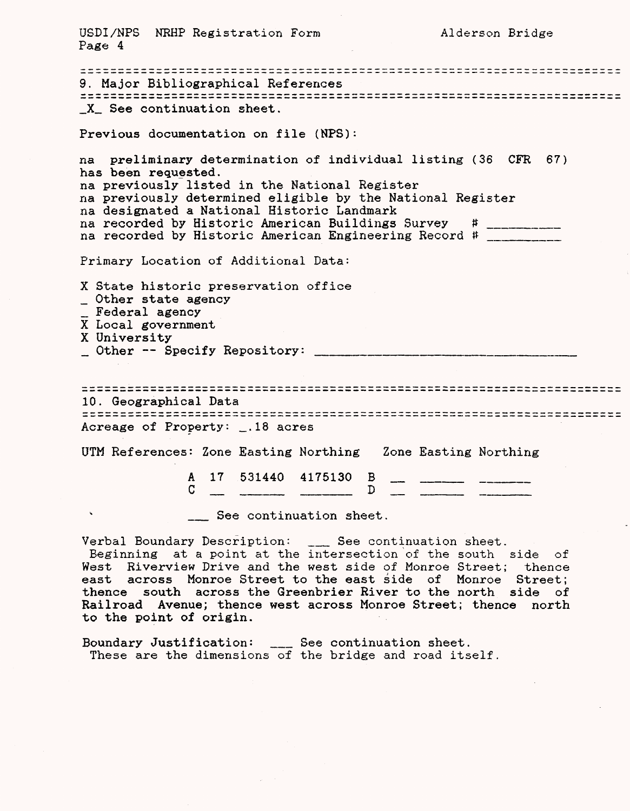USDI/NPS NKHP Registration Form Alderson Bridge Page 4 9. Major Bibliographical References X<sub>a</sub> See continuation sheet. Previous documentation on file (NPS): na preliminary determination of individual listing (36 CFR 67) has been requested. na previously listed in the National Register na previously determined eligible by the National Register na designated a National Historic Landmark na recorded by Historic American Buildings Survey # na recorded by Historic American Engineering Record # \_\_\_\_\_\_\_\_\_\_\_ Primary Location of Additional Data: X State historic preservation office \_ Other state agency \_ Federal agency X Local government X University \_\_ Other Specify Repository: \_\_\_\_\_\_\_\_\_\_\_\_\_\_\_\_\_\_\_\_\_\_\_\_\_\_\_ 10. Geographical Data Acreage of Property: \_.18 acres UTM References: Zone Easting Northing Zone Easting Northing 17 531440 4175130 B A D C \_\_ See continuation sheet. Verbal Boundary Description: \_\_\_ See continuation sheet. Beginning at a point at the intersection of the south side of West Riverview Drive and the west side of Monroe Street; thence east across Monroe Street to the east side of Monroe Street; thence south across the Greenbrier River to the north side of Railroad Avenue; thence west across Monroe Street; thence north to the point of origin. Boundary Justification: \_\_ See continuation sheet. These are the dimensions of the bridge and road itself.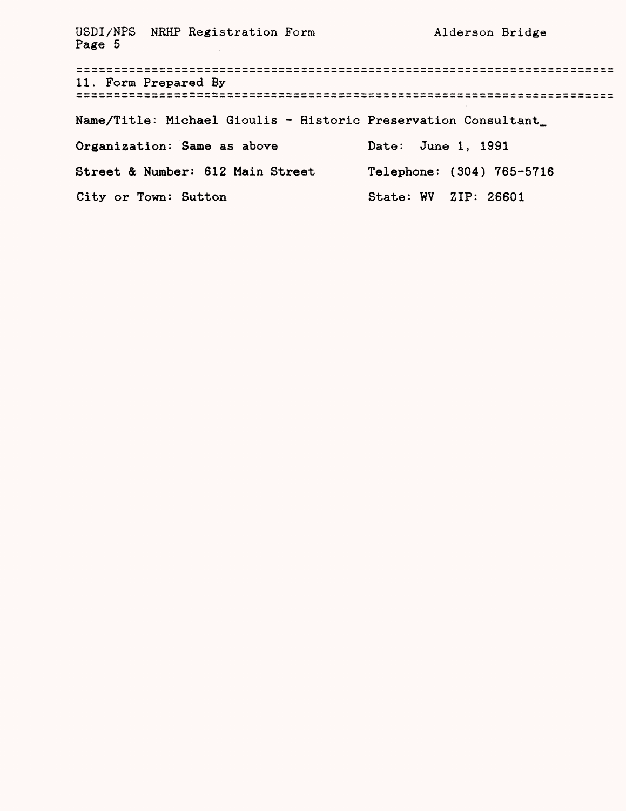USDI/NPS NRHP Registration Form Alderson Bridge Page 5 11. Form Prepared By Name/Title: Michael Gioulis - Historic Preservation Consultant\_ Organization: Same as above Date: June 1, 1991 Street & Number: 612 Main Street Telephone: (304) 765-5716 City or Town: Sutton State: WV ZIP: 26601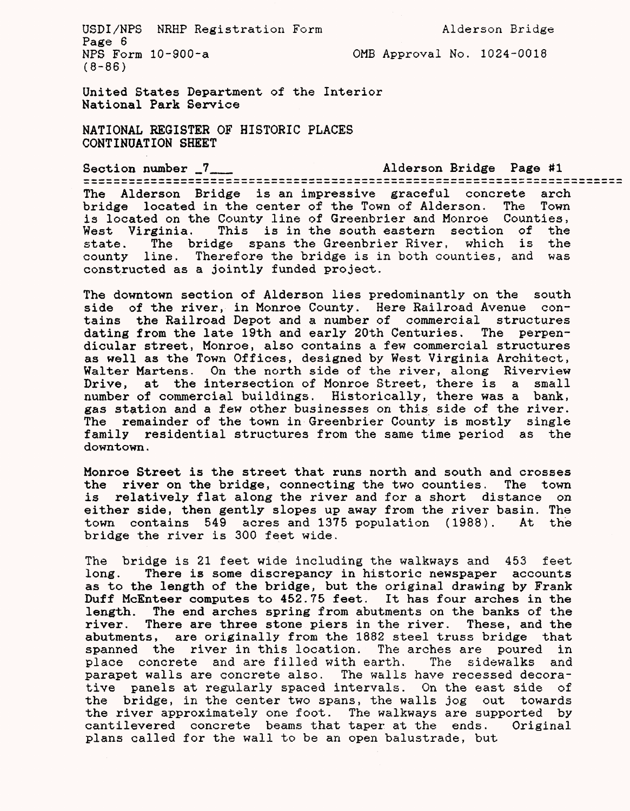USDI/NPS NRHP Registration Form Alderson Bridge Page 6<br>NPS Form 10-900-a

(8-86)

OMB Approval No. 1024-0018

United States Department of the Interior National Park Service

NATIONAL REGISTER OF HISTORIC PLACES CONTINUATION SHEET

Section number \_7\_\_ Alderson Bridge Page #1 The Alderson Bridge is an impressive graceful concrete arch bridge located in the center of the Town of Alderson. The Town is located on the County line of Greenbrier and Monroe Counties,<br>West Virginia. This is in the south eastern section of the This is in the south eastern section of the state. The bridge spans the Greenbrier River, which is the county line. Therefore the bridge is in both counties, and was constructed as a jointly funded project.

The downtown section of Alderson lies predominantly on the south side of the river, in Monroe County. Here Railroad Avenue contains the Railroad Depot and a number of commercial structures dating from the late 19th and early 20th Centuries. The perpendicular street, Monroe, also contains a few commercial structures as well as the Town Offices, designed by West Virginia Architect, Walter Martens. On the north side of the river, along Riverview Drive, at the intersection of Monroe Street, there is a small number of commercial buildings. Historically, there was a bank, gas station and a few other businesses on this side of the river. The remainder of the town in Greenbrier County is mostly single family residential structures from the same time period as the downtown.

Monroe Street is the street that runs north and south and crosses the river on the bridge, connecting the two counties. The town is relatively flat along the river and for a short distance on either side, then gently slopes up away from the river basin. The town contains 549 acres and 1375 population (1988). At the bridge the river is 300 feet wide.

The bridge is 21 feet wide including the walkways and 453 feet long. There is some discrepancy in historic newspaper accounts as to the length of the bridge, but the original drawing by Frank Duff McEnteer computes to 452.75 feet. It has four arches in the length. The end arches spring from abutments on the banks of the river. There are three stone piers in the river. These, and the abutments, are originally from the 1882 steel truss bridge that spanned the river in this location. The arches are poured in place concrete and are filled with earth. The sidewalks and parapet walls are concrete also. The walls have recessed decorative panels at regularly spaced intervals. On the east side of the bridge, in the center two spans, the walls jog out towards the river approximately one foot. The walkways are supported by cantilevered concrete beams that taper at the ends. Original plans called for the wall to be an open balustrade, but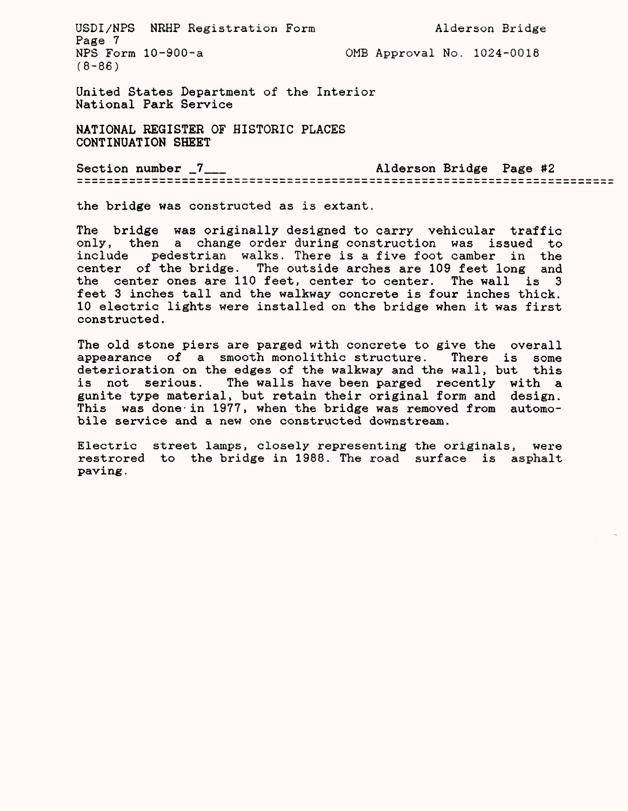USDI/NPS NRHP Registration Form Alderson Bridge Page 7<br>NPS Form 10-900-a  $(8 - 86)$ 

OMB Approval No.  $1024-0018$ 

United States Department of the Interior National Park Service

NATIONAL REGISTER OF HISTORIC PLACES CONTINUATION SHEET

Section number \_7\_\_ Alderson Bridge Page #2

the bridge was constructed as is extant.

The bridge was originally designed to carry vehicular traffic only, then a change order during construction was issued to include pedestrian walks. There is a five foot camber in the center of the bridge. The outside arches are 109 feet long and the center ones are 110 feet, center to center. The wall is 3 feet 3 inches tall and the walkway concrete is four inches thick. 10 electric lights were installed on the bridge when it was first constructed.

The old stone piers are parged with concrete to give the overall appearance of a smooth monolithic structure. There is some deterioration on the edges of the walkway and the wall, but this is not serious. The walls have been parged recently with a gunite type material, but retain their original form and design. This was done-in 1977, when the bridge was removed from automobile service and a new one constructed downstream.

Electric street lamps, closely representing the originals, were restrored to the bridge in 1988. The road surface is asphalt paving.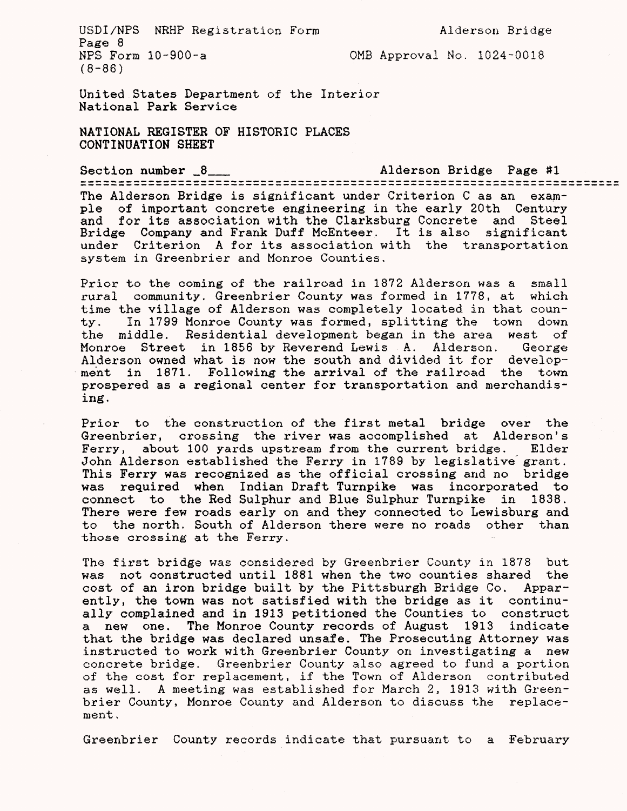USDI/NPS NRHP Registration Form Alderson Bridge Page 8<br>NPS Form 10-900-a (8-86)

OMB Approval No. 1024-0018

United States Department of the Interior National Park Service

system in Greenbrier and Monroe Counties.

NATIONAL REGISTER OF HISTORIC PLACES CONTINUATION SHEET

Section number \_8\_\_ Alderson Bridge Page 1\*1 The Alderson Bridge is significant under Criterion C as an example of important concrete engineering in the early 20th Century and for its association with the Clarksburg Concrete and Steel Bridge Company and Frank Duff McEnteer. It is also significant

Prior to the coming of the railroad in 1872 Alderson was a small rural community, Greenbrier County was formed in 1778, at which time the village of Alderson was completely located in that county. In 1799 Monroe County was formed, splitting the town down the middle. Residential development began in the area west of<br>Monroe Street in 1856 by Reverend Lewis A. Alderson. George Monroe Street in 1856 by Reverend Lewis A. Alderson. Alderson owned what is now the south and divided it for development in 1871. Following the arrival of the railroad the town prospered as a regional center for transportation and merchandising .

under Criterion A for its association with the transportation

Prior to the construction of the first metal bridge over the Greenbrier, crossing the river was accomplished at Alderson's Ferry, about 100 yards upstream from the current bridge. Elder John Alderson established the Ferry in 1789 by legislative grant. This Ferry was recognised as the official crossing and no bridge was required when Indian Draft Turnpike was incorporated to connect to the Red Sulphur and Blue Sulphur Turnpike in 1838. There were few roads early on and they connected to Lewisburg and to the north. South of Alderson there were no roads other than those crossing at the Ferry.

The first bridge was considered by Greenbrier County in 1878 but was not constructed until 1881 when the two counties shared the cost of an iron bridge built by the Pittsburgh Bridge Co. Apparently, the town was not satisfied with the bridge as it continually complained and in 1913 petitioned the Counties to construct a new one. The Monroe County records of August 1913 indicate that the bridge was declared unsafe. The Prosecuting Attorney was instructed to work with Greenbrier County on investigating a new concrete bridge. Greenbrier County also agreed to fund a portion of the cost for replacement, if the Town of Alderson contributed as well. A meeting was established for March *2,* 1913 with Greenbrier County, Monroe County and Alderson to discuss the replacement ,

Greenbrier County records indicate that pursuant to a February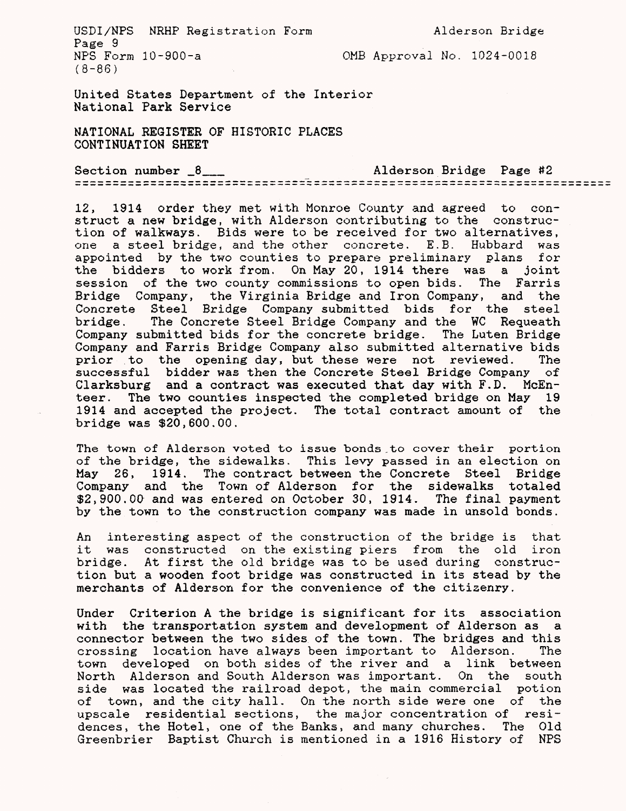USDI/NPS NRHP Registration Form Alderson Bridge Page 9<br>NPS Form 10-900-a  $(8 - 86)$ 

OMB Approval No.  $1024-0018$ 

United States Department of the Interior National Park Service

NATIONAL REGISTER OF HISTORIC PLACES CONTINUATION SHEET

Section number \_8\_\_ Alderson Bridge Page #2

12, 1914 order they met with Monroe County and agreed to construct a new bridge, with Alderson contributing to the construction of walkways. Bids were to be received for two alternatives, one a steel bridge, and the other concrete. E.B. Hubbard was appointed by the two counties to prepare preliminary plans for the bidders to work from. On May 20, 1914 there was a joint session of the two county commissions to open bids. The Farris Bridge Company, the Virginia Bridge and Iron Company, and the Concrete Steel Bridge Company submitted bids for the steel bridge. The Concrete Steel Bridge Company and the WC Requeath Company submitted bids for the concrete bridge. The Luten Bridge Company and Farris Bridge Company also submitted alternative bids prior to the opening day, but these were not reviewed. The successful bidder was then the Concrete Steel Bridge Company of Clarksburg and a contract was executed that day with F.D. McEnteer. The two counties inspected the completed bridge on May 19 1914 and accepted the project. The total contract amount of the bridge was \$20,600.00.

The town of Alderson voted to issue bonds,to cover their portion of the bridge, the sidewalks. This levy passed in an election on May 26, 1914. The contract between the Concrete Steel Bridge Company and the Town of Alderson for the sidewalks totaled \$2,900.00 and was entered on October 30, 1914. The final payment by the town to the construction company was made in unsold bonds.

An interesting aspect of the construction of the bridge is that it was constructed on the existing piers from the old iron bridge. At first the old bridge was to be used during construction but a wooden foot bridge was constructed in its stead by the merchants of Alderson for the convenience of the citisenry.

Under Criterion A the bridge is significant for its association with the transportation system and development of Alderson as a connector between the two sides of the town. The bridges and this crossing location have always been important to Alderson. The town developed on both sides of the river and a link between North Alderson and South Alderson was important. On the south side was located the railroad depot, the main commercial potion of town, and the city hall. On the north side were one of the upscale residential sections, the major concentration of residences, the Hotel, one of the Banks, and many churches. The Old Greenbrier Baptist Church is mentioned in a 1916 History of NPS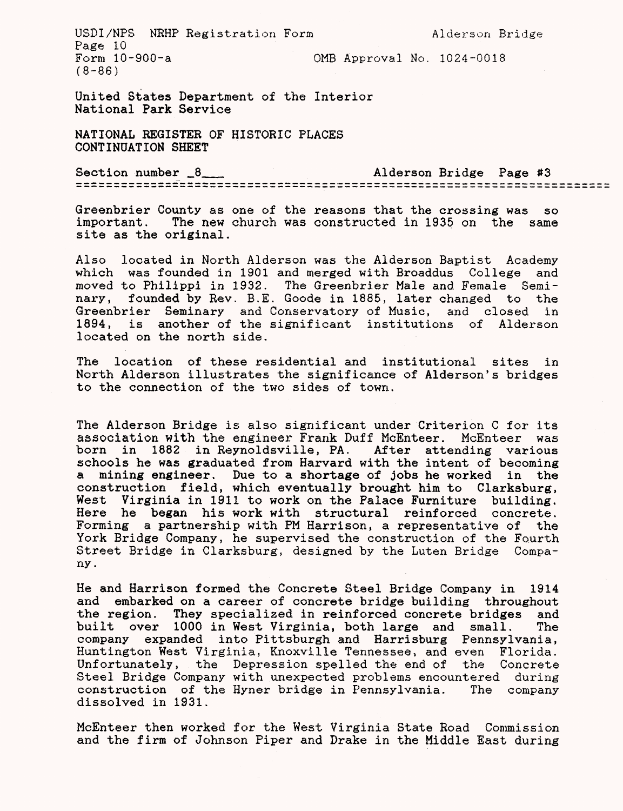USDI/NPS NRHP Registration Form Alderson Bridge Page 10<br>Form 10-900-a OMB Approval No.  $1024-0018$  $(8 - 86)$ 

United States Department of the Interior National Park Service

NATIONAL REGISTER OF HISTORIC PLACES CONTINUATION SHEET

Section number  $6\frac{8}{2}$  Alderson Bridge Page #3

Greenbrier County as one of the reasons that the crossing was so important. The new church was constructed in 1935 on the same The new church was constructed in 1935 on the same site as the original.

Also located in North Alderson was the Alderson Baptist Academy which was founded in 1901 and merged with Broaddus College and moved to Philippi in 1932. The Greenbrier Male and Female Seminary, founded by Rev. B.E. Goode in 1885, later changed to the Greenbrier Seminary and Conservatory of Music, and closed in 1894, is another of the significant institutions of Alderson located on the north side.

The location of these residential and institutional sites in North Alderson illustrates the significance of Alderson's bridges to the connection of the two sides of town.

The Alderson Bridge is also significant under Criterion C for its association with the engineer Frank Duff McEnteer. McEnteer was born in 1882 in Reynoldsville, PA. After attending various schools he was graduated from Harvard with the intent of becoming a mining engineer. Due to a shortage of jobs he worked in the construction field, which eventually brought him to Clarksburg, West Virginia in 1911 to work on the Palace Furniture building. Here he began his work with structural reinforced concrete. Forming a partnership with PM Harrison, a representative of the York Bridge Company, he supervised the construction of the Fourth Street Bridge in Clarksburg, designed by the Luten Bridge Company.

He and Harrison formed the Concrete Steel Bridge Company in 1914 and embarked on a career of concrete bridge building throughout the region. They specialized in reinforced concrete bridges and<br>built over 1000 in West Virginia, both large and small. The built over 1000 in West Virginia, both large and small. company expanded into Pittsburgh and Harrisburg Pennsylvania, Huntington West Virginia, Knoxville Tennessee, and even Florida. Unfortunately, the Depression spelled the end of the Concrete Steel Bridge Company with unexpected problems encountered during construction of the Hyner bridge in Pennsylvania. The company dissolved in 1931.

McEnteer then worked for the West Virginia State Road Commission and the firm of Johnson Piper and Drake in the Middle East during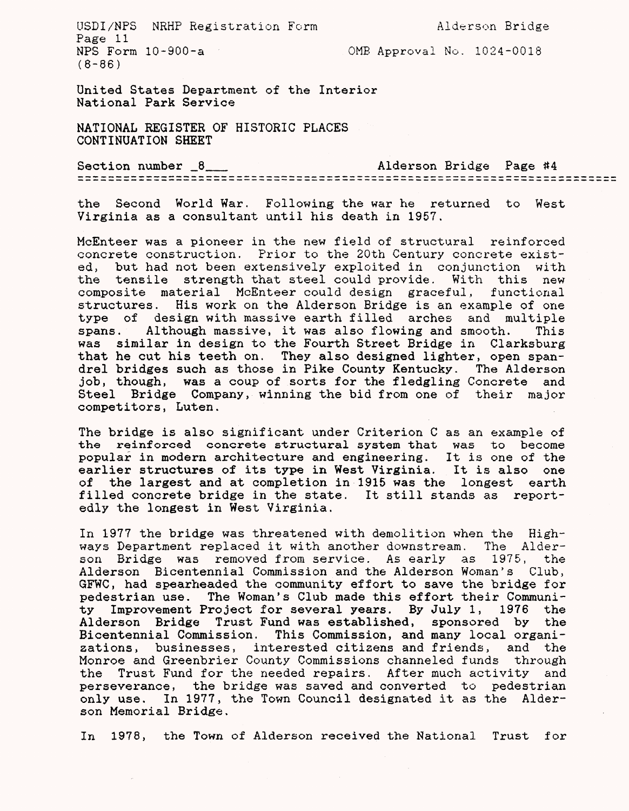USDI/NPS NRHP Registration Form Alderson Bridge Page 11<br>NPS Form 10-900-a (8-86)

 $OMB$  Approval No. 1024-0018

United States Department of the Interior National Park Service

NATIONAL REGISTER OF HISTORIC PLACES CONTINUATION SHEET

Section number \_8\_\_ Alderson Bridge Page #4

the Second World War. Following the war he returned to West Virginia as a consultant until his death in 1957.

McEnteer was a pioneer in the new field of structural reinforced concrete construction. Prior to the 20th Century concrete existed, but had not been extensively exploited in conjunction with the tensile strength that steel could provide. With this new composite material McEnteer could design graceful, functional structures. His work on the Alderson Bridge is an example of one type of design with massive earth filled arches and multiple spans. Although massive, it was also flowing and smooth. This was similar in design to the Fourth Street Bridge in Clarksburg that he cut his teeth on. They also designed lighter, open spandrel bridges such as those in Pike County Kentucky. The Alderson job, though, was a coup of sorts for the fledgling Concrete and Steel Bridge Company, winning the bid from one of their major competitors, Luten.

The bridge is also significant under Criterion C as an example of the reinforced concrete structural system that was to become popular in modern architecture and engineering. It is one of the earlier structures of its type in West Virginia. It is also one<br>of the largest and at completion in 1915 was the longest earth the largest and at completion in 1915 was the longest earth filled concrete bridge in the state. It still stands as reportedly the longest in West Virginia.

In 1977 the bridge was threatened with demolition when the Highways Department replaced it with another downstream. The Alderson Bridge was removed from service. As early as 1975, the Alderson Bicentennial Commission and the Alderson Woman's Club, GFWC, had spearheaded the community effort to save the bridge for pedestrian use. The Woman's Club made this effort their Community Improvement Project for several years. By July 1, 1976 the Alderson Bridge Trust Fund was established, sponsored by the Bicentennial Commission. This Commission, and many local organizations, businesses, interested citizens and friends, and the Monroe and Greenbrier County Commissions channeled funds through the Trust Fund for the needed repairs. After much activity and perseverance, the bridge was saved and converted to pedestrian only use. In 1977, the Town Council designated it as the Aiderson Memorial Bridge.

In 1978, the Town of Alderson received the National Trust for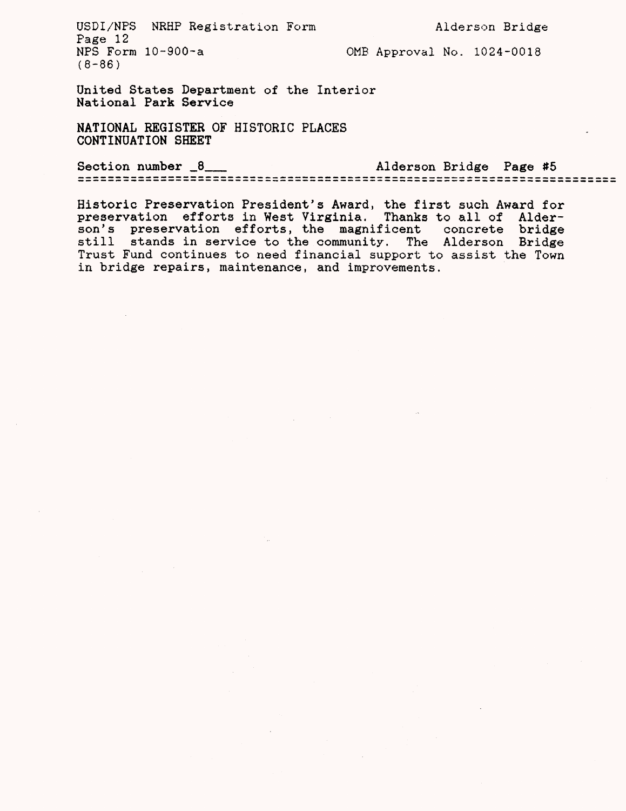USDI/NPS NRHP Registration Form Alderson Bridge Page 12<br>NPS Form 10-900-a (8-86)

OMB Approval No. 1024-0018

United States Department of the Interior National Park Service

NATIONAL REGISTER OF HISTORIC PLACES CONTINUATION SHEET

Section number \_8\_\_ Alderson Bridge Page #5

Historic Preservation President's Award, the first such Award for preservation efforts in West Virginia. Thanks to all of Alderson's preservation efforts, the magnificent concrete bridge still stands in service to the community. The Alderson Bridge Trust Fund continues to need financial support to assist the Town in bridge repairs, maintenance, and improvements.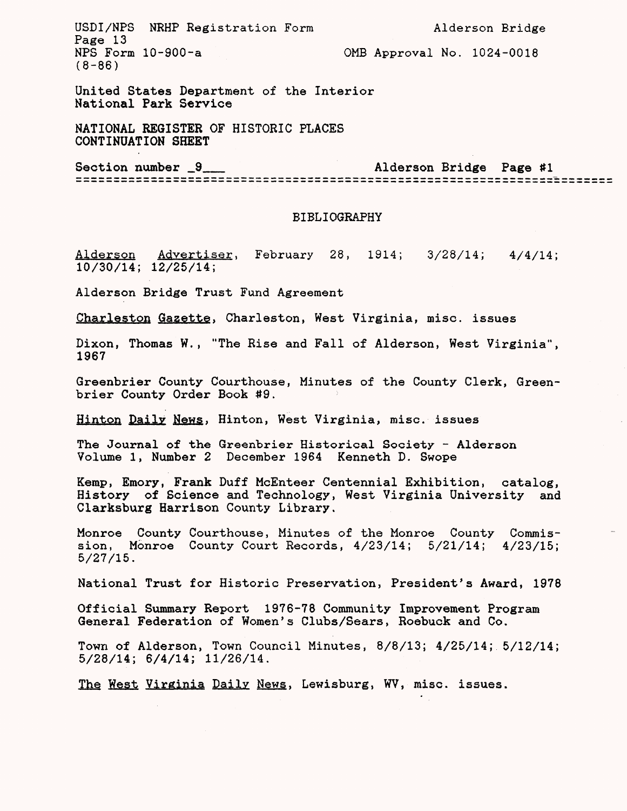USDI/NPS NRHP Registration Form Alderson Bridge Page 13<br>NPS Form 10-900-a  $(8-86)$ 

OMB Approval No.  $1024-0018$ 

United States Department of the Interior National Park Service

NATIONAL REGISTER OF HISTORIC PLACES CONTINUATION SHEET

Section number  $9$  2 and Alderson Bridge Page #1

## BIBLIOGRAPHY

Alderson Advertiser, February 28, 1914; 3/28/14; 4/4/14; 10/30/14; 12/25/14;

Alderson Bridge Trust Fund Agreement

Charleston Gazette. Charleston, West Virginia, misc. issues

Dixon, Thomas W., "The Rise and Fall of Alderson, West Virginia", 1967

Greenbrier County Courthouse, Minutes of the County Clerk, Greenbrier County Order Book #9.

Hinton Daily News. Hinton, West Virginia, misc. issues

The Journal of the Greenbrier Historical Society - Alderson Volume 1, Number 2 December 1964 Kenneth D. Swope

Kemp, Emory, Frank Duff McEnteer Centennial Exhibition, catalog, History of Science and Technology, West Virginia University and Clarksburg Harrison County Library.

Monroe County Courthouse, Minutes of the Monroe County Commission, Monroe County Court Records, 4/23/14; 5/21/14; 4/23/15; 5/27/15.

National Trust for Historic Preservation, President's Award, 1978

Official Summary Report 1976-78 Community Improvement Program General Federation of Women's Clubs/Sears, Roebuck and Co.

Town of Alderson, Town Council Minutes, 8/8/13; 4/25/14; 5/12/14; 5/28/14; 6/4/14; 11/26/14.

The West Virginia Daily News, Lewisburg, WV, misc. issues.